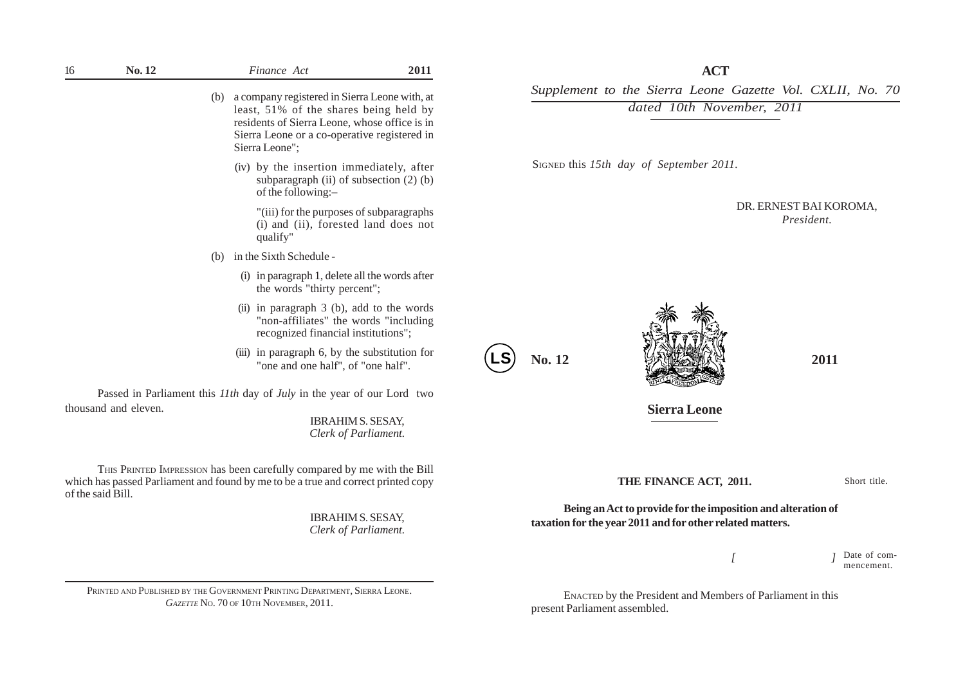| 16                | No. 12               |     | Finance Act                                                                                                                                                                                                | 2011                                             |  |
|-------------------|----------------------|-----|------------------------------------------------------------------------------------------------------------------------------------------------------------------------------------------------------------|--------------------------------------------------|--|
|                   |                      | (b) | a company registered in Sierra Leone with, at<br>least, 51% of the shares being held by<br>residents of Sierra Leone, whose office is in<br>Sierra Leone or a co-operative registered in<br>Sierra Leone"; |                                                  |  |
|                   |                      |     | (iv) by the insertion immediately, after<br>subparagraph (ii) of subsection $(2)$ (b)<br>of the following:-                                                                                                |                                                  |  |
|                   |                      |     | "(iii) for the purposes of subparagraphs<br>(i) and (ii), forested land does not<br>qualify"                                                                                                               |                                                  |  |
|                   |                      | (b) | in the Sixth Schedule -                                                                                                                                                                                    |                                                  |  |
|                   |                      |     | (i) in paragraph 1, delete all the words after<br>the words "thirty percent";                                                                                                                              |                                                  |  |
|                   |                      |     | (ii) in paragraph $3$ (b), add to the words<br>"non-affiliates" the words "including<br>recognized financial institutions";                                                                                |                                                  |  |
|                   |                      |     | (iii) in paragraph 6, by the substitution for<br>"one and one half", of "one half".                                                                                                                        |                                                  |  |
|                   |                      |     | Passed in Parliament this 11th day of July in the year of our Lord two                                                                                                                                     |                                                  |  |
|                   | thousand and eleven. |     |                                                                                                                                                                                                            | <b>IBRAHIM S. SESAY,</b><br>Clerk of Parliament. |  |
| of the said Bill. |                      |     | THIS PRINTED IMPRESSION has been carefully compared by me with the Bill<br>which has passed Parliament and found by me to be a true and correct printed copy                                               |                                                  |  |
|                   |                      |     |                                                                                                                                                                                                            | <b>IBRAHIM S. SESAY,</b><br>Clerk of Parliament. |  |
|                   |                      |     |                                                                                                                                                                                                            |                                                  |  |

PRINTED AND PUBLISHED BY THE GOVERNMENT PRINTING DEPARTMENT, SIERRA LEONE. *GAZETTE* NO. 70 OF 10TH NOVEMBER, 2011.

**ACT**

*Supplement to the Sierra Leone Gazette Vol. CXLII, No. 70*

*dated 10th November, 2011*

SIGNED this *15th day of September 2011.*

DR. ERNEST BAI KOROMA, *President.*





**Sierra Leone**

**THE FINANCE ACT, 2011.**

Short title.

**Being an Act to provide for the imposition and alteration of taxation for the year 2011 and for other related matters.**

 *[ ]*

Date of commencement.

ENACTED by the President and Members of Parliament in this present Parliament assembled.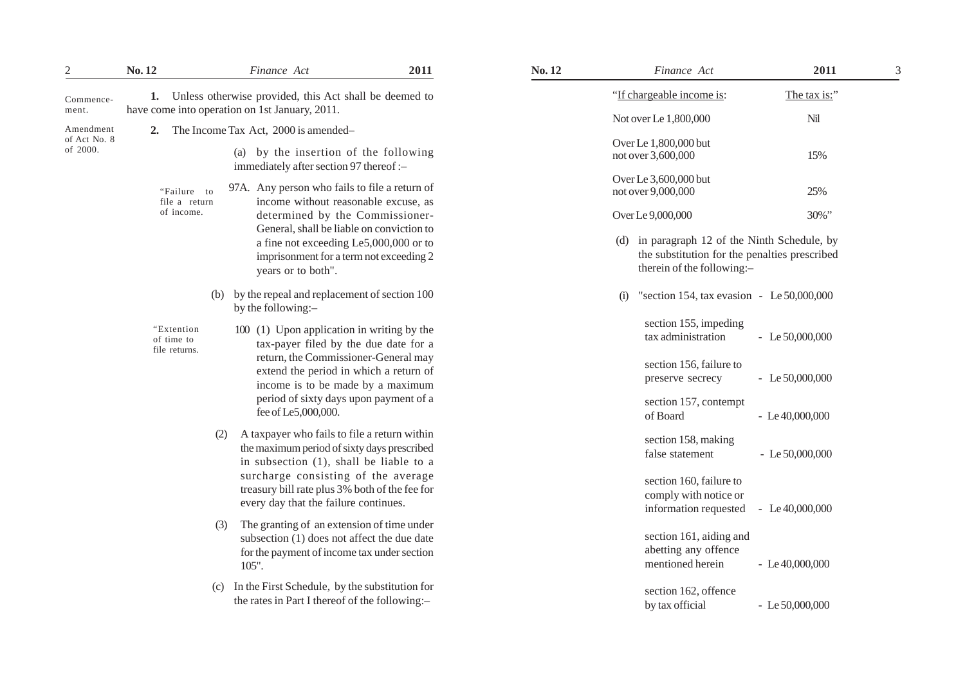| 2                        | No. 12                                    | Finance Act                                                                                                                                                                                                                                                                 | 2011 | No. 12 |                                             | Finance Act                                                                                                              | 2011              |
|--------------------------|-------------------------------------------|-----------------------------------------------------------------------------------------------------------------------------------------------------------------------------------------------------------------------------------------------------------------------------|------|--------|---------------------------------------------|--------------------------------------------------------------------------------------------------------------------------|-------------------|
| Commence-<br>ment.       |                                           | 1. Unless otherwise provided, this Act shall be deemed to<br>have come into operation on 1st January, 2011.                                                                                                                                                                 |      |        |                                             | "If chargeable income is:                                                                                                | The tax is:"      |
| Amendment                |                                           | 2. The Income Tax Act, 2000 is amended-                                                                                                                                                                                                                                     |      |        |                                             | Not over Le 1,800,000                                                                                                    | Nil               |
| of Act No. 8<br>of 2000. |                                           | (a) by the insertion of the following<br>immediately after section 97 thereof :-                                                                                                                                                                                            |      |        |                                             | Over Le 1,800,000 but<br>not over 3,600,000                                                                              | 15%               |
|                          | "Failure to<br>file a return              | 97A. Any person who fails to file a return of<br>income without reasonable excuse, as                                                                                                                                                                                       |      |        | Over Le 3,600,000 but<br>not over 9,000,000 | 25%                                                                                                                      |                   |
|                          | of income.                                | determined by the Commissioner-                                                                                                                                                                                                                                             |      |        |                                             | Over Le 9,000,000                                                                                                        | 30%"              |
|                          |                                           | General, shall be liable on conviction to<br>a fine not exceeding Le5,000,000 or to<br>imprisonment for a term not exceeding 2<br>years or to both".                                                                                                                        |      |        | (d)                                         | in paragraph 12 of the Ninth Schedule, by<br>the substitution for the penalties prescribed<br>therein of the following:- |                   |
|                          |                                           | (b) by the repeal and replacement of section 100<br>by the following:-                                                                                                                                                                                                      |      |        | (i)                                         | "section 154, tax evasion - Le $50,000,000$                                                                              |                   |
|                          | "Extention<br>of time to<br>file returns. | 100 (1) Upon application in writing by the<br>tax-payer filed by the due date for a<br>return, the Commissioner-General may<br>extend the period in which a return of<br>income is to be made by a maximum<br>period of sixty days upon payment of a<br>fee of Le5,000,000. |      |        | section 155, impeding<br>tax administration | - Le $50,000,000$                                                                                                        |                   |
|                          |                                           |                                                                                                                                                                                                                                                                             |      |        | section 156, failure to<br>preserve secrecy | - Le $50,000,000$                                                                                                        |                   |
|                          |                                           |                                                                                                                                                                                                                                                                             |      |        | section 157, contempt<br>of Board           | $-Le$ 40,000,000                                                                                                         |                   |
|                          | (2)                                       | A taxpayer who fails to file a return within<br>the maximum period of sixty days prescribed<br>in subsection (1), shall be liable to a                                                                                                                                      |      |        |                                             | section 158, making<br>false statement                                                                                   | $-Le$ 50,000,000  |
|                          |                                           | surcharge consisting of the average<br>treasury bill rate plus 3% both of the fee for<br>every day that the failure continues.                                                                                                                                              |      |        |                                             | section 160, failure to<br>comply with notice or<br>information requested                                                | - Le $40,000,000$ |
|                          | (3)                                       | The granting of an extension of time under<br>subsection (1) does not affect the due date<br>for the payment of income tax under section<br>105".                                                                                                                           |      |        |                                             | section 161, aiding and<br>abetting any offence<br>mentioned herein                                                      | $-Le$ 40,000,000  |
|                          | (c)                                       | In the First Schedule, by the substitution for<br>the rates in Part I thereof of the following:-                                                                                                                                                                            |      |        |                                             | section 162, offence<br>by tax official                                                                                  | $-Le$ 50,000,000  |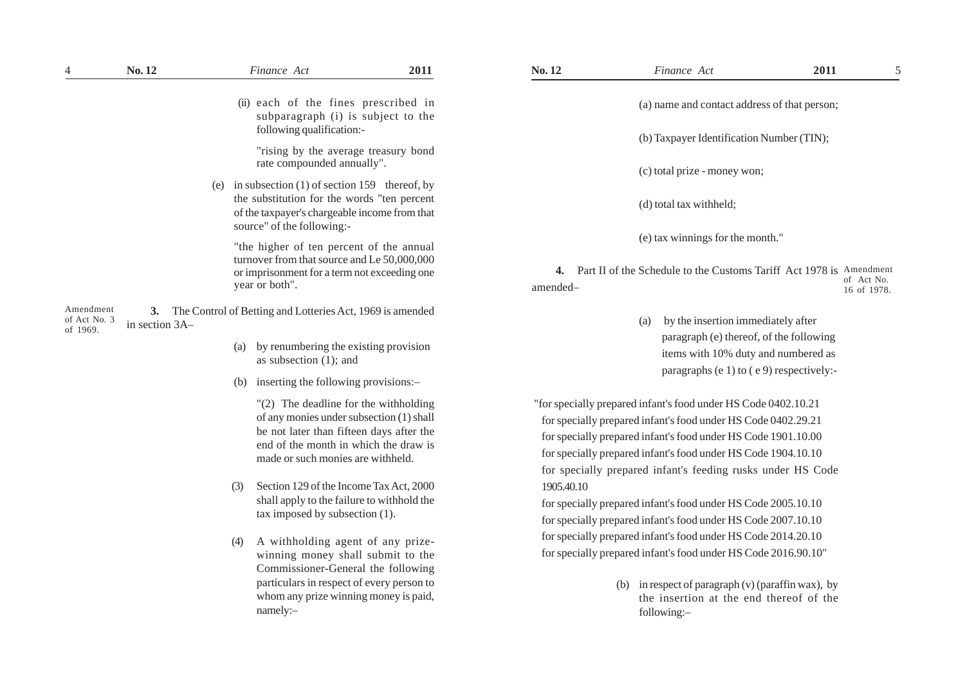|                                       | No. 12         |                | Finance Act                                                                                                                                                                                                                                                                                            | 2011 | No. 12         | Finance Act                                                                                                                                                                                                                                                                                                                      | 2011 | 5                         |
|---------------------------------------|----------------|----------------|--------------------------------------------------------------------------------------------------------------------------------------------------------------------------------------------------------------------------------------------------------------------------------------------------------|------|----------------|----------------------------------------------------------------------------------------------------------------------------------------------------------------------------------------------------------------------------------------------------------------------------------------------------------------------------------|------|---------------------------|
|                                       |                |                | (ii) each of the fines prescribed in<br>subparagraph (i) is subject to the<br>following qualification:-                                                                                                                                                                                                |      |                | (a) name and contact address of that person;                                                                                                                                                                                                                                                                                     |      |                           |
|                                       |                |                | "rising by the average treasury bond<br>rate compounded annually".                                                                                                                                                                                                                                     |      |                | (b) Taxpayer Identification Number (TIN);<br>(c) total prize - money won;                                                                                                                                                                                                                                                        |      |                           |
|                                       |                | (e)            | in subsection $(1)$ of section 159 thereof, by<br>the substitution for the words "ten percent<br>of the taxpayer's chargeable income from that<br>source" of the following:-                                                                                                                           |      |                | (d) total tax withheld;                                                                                                                                                                                                                                                                                                          |      |                           |
|                                       |                | year or both". | "the higher of ten percent of the annual<br>turnover from that source and Le 50,000,000<br>or imprisonment for a term not exceeding one                                                                                                                                                                |      | 4.<br>amended- | (e) tax winnings for the month."<br>Part II of the Schedule to the Customs Tariff Act 1978 is Amendment                                                                                                                                                                                                                          |      | of Act No.<br>16 of 1978. |
| Amendment<br>of Act No. 3<br>of 1969. | in section 3A- | (a)<br>(b)     | 3. The Control of Betting and Lotteries Act, 1969 is amended<br>by renumbering the existing provision<br>as subsection $(1)$ ; and<br>inserting the following provisions:-                                                                                                                             |      |                | by the insertion immediately after<br>(a)<br>paragraph (e) thereof, of the following<br>items with 10% duty and numbered as<br>paragraphs (e 1) to (e 9) respectively:-                                                                                                                                                          |      |                           |
|                                       |                | (3)            | $"(2)$ The deadline for the withholding<br>of any monies under subsection (1) shall<br>be not later than fifteen days after the<br>end of the month in which the draw is<br>made or such monies are withheld.<br>Section 129 of the Income Tax Act, 2000<br>shall apply to the failure to withhold the |      | 1905.40.10     | "for specially prepared infant's food under HS Code 0402.10.21<br>for specially prepared infant's food under HS Code 0402.29.21<br>for specially prepared infant's food under HS Code 1901.10.00<br>for specially prepared infant's food under HS Code 1904.10.10<br>for specially prepared infant's feeding rusks under HS Code |      |                           |
|                                       |                |                | tax imposed by subsection (1).                                                                                                                                                                                                                                                                         |      |                | for specially prepared infant's food under HS Code 2005.10.10<br>for specially prepared infant's food under HS Code 2007.10.10<br>for specially prepared infant's food under HS Code 2014.20.10                                                                                                                                  |      |                           |
|                                       |                | (4)            | A withholding agent of any prize-<br>winning money shall submit to the<br>Commissioner-General the following                                                                                                                                                                                           |      |                | for specially prepared infant's food under HS Code 2016.90.10"                                                                                                                                                                                                                                                                   |      |                           |
|                                       |                |                | particulars in respect of every person to<br>whom any prize winning money is paid,<br>namely:-                                                                                                                                                                                                         |      |                | (b) in respect of paragraph $(v)$ (paraffin wax), by<br>the insertion at the end thereof of the<br>following:-                                                                                                                                                                                                                   |      |                           |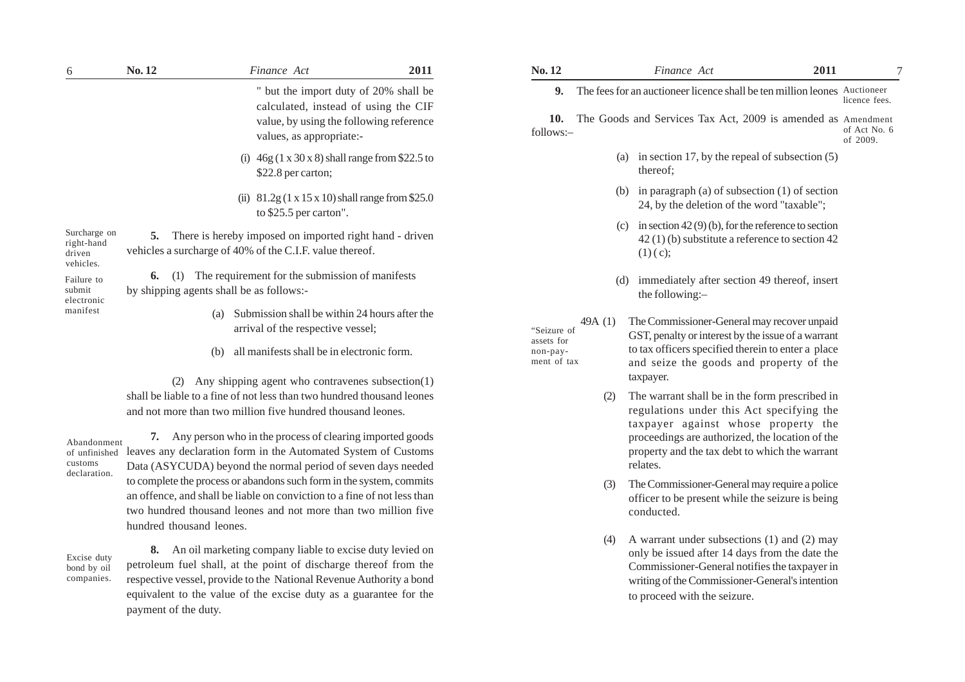| 6                                                 | No.12                                                                                                    | Finance Act                                                                                                                           | 2011                                                                                                                     | No. 12                                                              |                                                                                                                                                        | Finance Act                                                                                                                        | 2011 |                          |  |
|---------------------------------------------------|----------------------------------------------------------------------------------------------------------|---------------------------------------------------------------------------------------------------------------------------------------|--------------------------------------------------------------------------------------------------------------------------|---------------------------------------------------------------------|--------------------------------------------------------------------------------------------------------------------------------------------------------|------------------------------------------------------------------------------------------------------------------------------------|------|--------------------------|--|
|                                                   |                                                                                                          |                                                                                                                                       | " but the import duty of 20% shall be<br>calculated, instead of using the CIF<br>value, by using the following reference |                                                                     | The fees for an auctioneer licence shall be ten million leones Auctioneer<br>9.<br>The Goods and Services Tax Act, 2009 is amended as Amendment<br>10. |                                                                                                                                    |      |                          |  |
|                                                   |                                                                                                          | values, as appropriate:-                                                                                                              |                                                                                                                          | follows:-                                                           |                                                                                                                                                        |                                                                                                                                    |      | of Act No. 6<br>of 2009. |  |
|                                                   | $46g(1 \times 30 \times 8)$ shall range from \$22.5 to<br>(i)<br>\$22.8 per carton;                      |                                                                                                                                       |                                                                                                                          | in section 17, by the repeal of subsection $(5)$<br>(a)<br>thereof: |                                                                                                                                                        |                                                                                                                                    |      |                          |  |
|                                                   |                                                                                                          | (ii) $81.2g(1 \times 15 \times 10)$ shall range from \$25.0<br>to $$25.5$ per carton".                                                |                                                                                                                          |                                                                     | (b)                                                                                                                                                    | in paragraph (a) of subsection $(1)$ of section<br>24, by the deletion of the word "taxable";                                      |      |                          |  |
| Surcharge on<br>right-hand<br>driven<br>vehicles. | 5.                                                                                                       | There is hereby imposed on imported right hand - driven<br>vehicles a surcharge of 40% of the C.I.F. value thereof.                   |                                                                                                                          |                                                                     | (c)                                                                                                                                                    | in section $42(9)(b)$ , for the reference to section<br>$42(1)$ (b) substitute a reference to section 42<br>$(1)(c)$ ;             |      |                          |  |
| Failure to<br>submit<br>electronic                | The requirement for the submission of manifests<br>6.<br>(1)<br>by shipping agents shall be as follows:- |                                                                                                                                       | immediately after section 49 thereof, insert<br>(d)<br>the following:-                                                   |                                                                     |                                                                                                                                                        |                                                                                                                                    |      |                          |  |
| manifest                                          |                                                                                                          | (a)<br>arrival of the respective vessel;                                                                                              | Submission shall be within 24 hours after the<br>"Seizure of                                                             |                                                                     | 49A $(1)$                                                                                                                                              | The Commissioner-General may recover unpaid<br>GST, penalty or interest by the issue of a warrant                                  |      |                          |  |
|                                                   |                                                                                                          | all manifests shall be in electronic form.<br>(b)                                                                                     |                                                                                                                          | assets for<br>non-pay-<br>ment of tax                               |                                                                                                                                                        | to tax officers specified therein to enter a place<br>and seize the goods and property of the                                      |      |                          |  |
|                                                   | (2)                                                                                                      | Any shipping agent who contravenes subsection(1)                                                                                      |                                                                                                                          |                                                                     |                                                                                                                                                        | taxpayer.                                                                                                                          |      |                          |  |
|                                                   |                                                                                                          | shall be liable to a fine of not less than two hundred thousand leones<br>and not more than two million five hundred thousand leones. |                                                                                                                          |                                                                     |                                                                                                                                                        | The warrant shall be in the form prescribed in<br>regulations under this Act specifying the<br>taxpayer against whose property the |      |                          |  |
| Abondonment                                       | 7.                                                                                                       | Any person who in the process of clearing imported goods                                                                              |                                                                                                                          |                                                                     |                                                                                                                                                        | proceedings are authorized, the location of the                                                                                    |      |                          |  |

property and the tax debt to which the warrant

(3) The Commissioner-General may require a police officer to be present while the seizure is being

(4) A warrant under subsections (1) and (2) may only be issued after 14 days from the date the Commissioner-General notifies the taxpayer in writing of the Commissioner-General's intention

to proceed with the seizure.

relates.

conducted.

Abandonment of unfinished customs declaration.

**7.** Any person who in the process of clearing imported goods leaves any declaration form in the Automated System of Customs Data (ASYCUDA) beyond the normal period of seven days needed to complete the process or abandons such form in the system, commits an offence, and shall be liable on conviction to a fine of not less than two hundred thousand leones and not more than two million five hundred thousand leones.

Excise duty bond by oil companies.

**8.** An oil marketing company liable to excise duty levied on petroleum fuel shall, at the point of discharge thereof from the respective vessel, provide to the National Revenue Authority a bond equivalent to the value of the excise duty as a guarantee for the payment of the duty.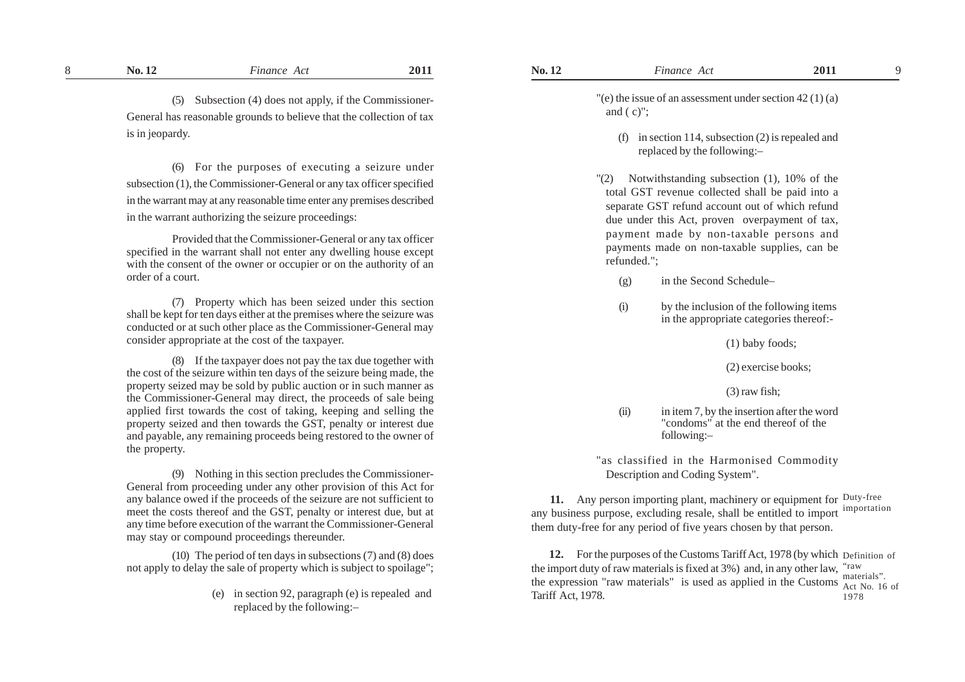(5) Subsection (4) does not apply, if the Commissioner-General has reasonable grounds to believe that the collection of tax is in jeopardy.

(6) For the purposes of executing a seizure under subsection (1), the Commissioner-General or any tax officer specified in the warrant may at any reasonable time enter any premises described in the warrant authorizing the seizure proceedings:

Provided that the Commissioner-General or any tax officer specified in the warrant shall not enter any dwelling house except with the consent of the owner or occupier or on the authority of an order of a court.

(7) Property which has been seized under this section shall be kept for ten days either at the premises where the seizure was conducted or at such other place as the Commissioner-General may consider appropriate at the cost of the taxpayer.

(8) If the taxpayer does not pay the tax due together with the cost of the seizure within ten days of the seizure being made, the property seized may be sold by public auction or in such manner as the Commissioner-General may direct, the proceeds of sale being applied first towards the cost of taking, keeping and selling the property seized and then towards the GST, penalty or interest due and payable, any remaining proceeds being restored to the owner of the property.

(9) Nothing in this section precludes the Commissioner-General from proceeding under any other provision of this Act for any balance owed if the proceeds of the seizure are not sufficient to meet the costs thereof and the GST, penalty or interest due, but at any time before execution of the warrant the Commissioner-General may stay or compound proceedings thereunder.

(10) The period of ten days in subsections (7) and (8) does not apply to delay the sale of property which is subject to spoilage";

> (e) in section 92, paragraph (e) is repealed and replaced by the following:–

 $\degree$  (e) the issue of an assessment under section 42 (1) (a) and  $(c)$ ":

- (f) in section 114, subsection (2) is repealed and replaced by the following:–
- "(2) Notwithstanding subsection (1), 10% of the total GST revenue collected shall be paid into a separate GST refund account out of which refund due under this Act, proven overpayment of tax, payment made by non-taxable persons and payments made on non-taxable supplies, can be refunded.";
	- (g) in the Second Schedule–
	- (i) by the inclusion of the following items in the appropriate categories thereof:-

(1) baby foods;

(2) exercise books;

(3) raw fish;

(ii) in item 7, by the insertion after the word "condoms" at the end thereof of the following:–

"as classified in the Harmonised Commodity Description and Coding System".

**11.** Any person importing plant, machinery or equipment for Duty-free any business purpose, excluding resale, shall be entitled to import importation them duty-free for any period of five years chosen by that person.

**12.** For the purposes of the Customs Tariff Act, 1978 (by which Definition of the import duty of raw materials is fixed at 3%) and, in any other law, "raw the expression "raw materials" is used as applied in the Customs  $_{\text{Act No. 16 of}}^{\text{mucions}}$ Tariff Act, 1978. materials". 1978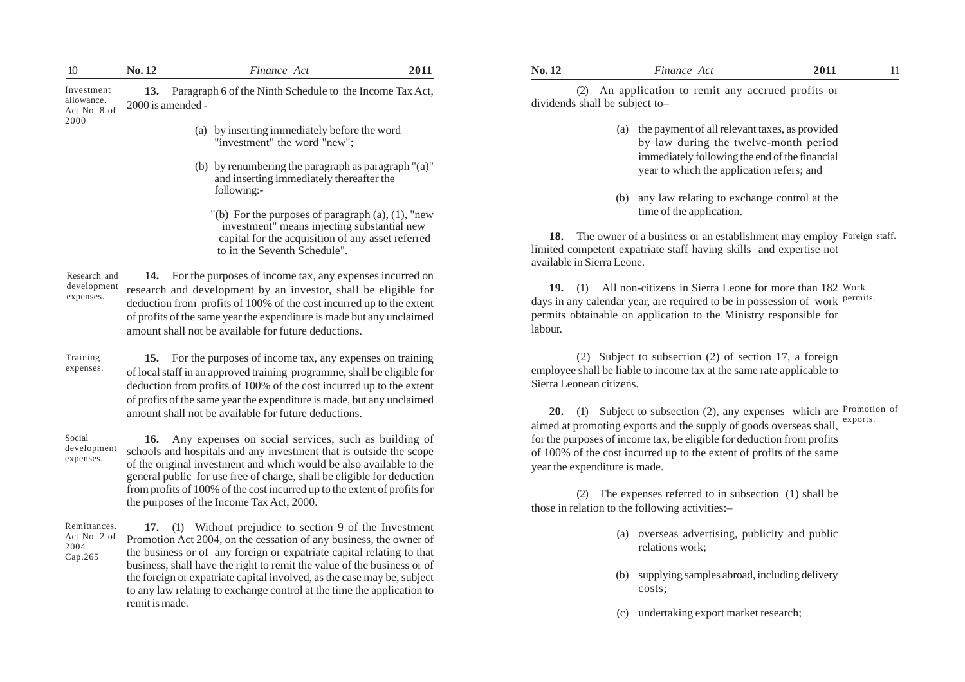| 10                                               | No. 12            | Finance Act                                                                                                                                                                                                                                                                                                                                                                                                                             | 2011 | No. 12                         | Finance Act                                                                                                                                                                                                                                                                                                                                                                                                                     | 2011     | 11 |
|--------------------------------------------------|-------------------|-----------------------------------------------------------------------------------------------------------------------------------------------------------------------------------------------------------------------------------------------------------------------------------------------------------------------------------------------------------------------------------------------------------------------------------------|------|--------------------------------|---------------------------------------------------------------------------------------------------------------------------------------------------------------------------------------------------------------------------------------------------------------------------------------------------------------------------------------------------------------------------------------------------------------------------------|----------|----|
| Investment<br>allowance.<br>Act No. 8 of         | 2000 is amended - | 13. Paragraph 6 of the Ninth Schedule to the Income Tax Act,                                                                                                                                                                                                                                                                                                                                                                            |      | dividends shall be subject to- | (2) An application to remit any accrued profits or                                                                                                                                                                                                                                                                                                                                                                              |          |    |
| 2000                                             |                   | (a) by inserting immediately before the word<br>"investment" the word "new";<br>(b) by renumbering the paragraph as paragraph "(a)"<br>and inserting immediately thereafter the<br>following:-<br>"(b) For the purposes of paragraph $(a)$ , $(1)$ , "new<br>investment" means injecting substantial new<br>capital for the acquisition of any asset referred<br>to in the Seventh Schedule".                                           |      | available in Sierra Leone.     | (a) the payment of all relevant taxes, as provided<br>by law during the twelve-month period<br>immediately following the end of the financial<br>year to which the application refers; and<br>any law relating to exchange control at the<br>(b)<br>time of the application.<br>18. The owner of a business or an establishment may employ Foreign staff.<br>limited competent expatriate staff having skills and expertise not |          |    |
| Research and<br>development<br>expenses.         |                   | 14. For the purposes of income tax, any expenses incurred on<br>research and development by an investor, shall be eligible for<br>deduction from profits of 100% of the cost incurred up to the extent<br>of profits of the same year the expenditure is made but any unclaimed<br>amount shall not be available for future deductions.                                                                                                 |      | labour.                        | 19. (1) All non-citizens in Sierra Leone for more than 182 Work<br>days in any calendar year, are required to be in possession of work permits.<br>permits obtainable on application to the Ministry responsible for                                                                                                                                                                                                            |          |    |
| Training<br>expenses.                            |                   | 15. For the purposes of income tax, any expenses on training<br>of local staff in an approved training programme, shall be eligible for<br>deduction from profits of 100% of the cost incurred up to the extent<br>of profits of the same year the expenditure is made, but any unclaimed<br>amount shall not be available for future deductions.                                                                                       |      | Sierra Leonean citizens.       | (2) Subject to subsection (2) of section 17, a foreign<br>employee shall be liable to income tax at the same rate applicable to<br>20. (1) Subject to subsection (2), any expenses which are Promotion of<br>aimed at promoting exports and the supply of goods overseas shall,                                                                                                                                                 | exports. |    |
| Social<br>development<br>expenses.               |                   | 16. Any expenses on social services, such as building of<br>schools and hospitals and any investment that is outside the scope<br>of the original investment and which would be also available to the<br>general public for use free of charge, shall be eligible for deduction<br>from profits of 100% of the cost incurred up to the extent of profits for<br>the purposes of the Income Tax Act, 2000.                               |      | year the expenditure is made.  | for the purposes of income tax, be eligible for deduction from profits<br>of 100% of the cost incurred up to the extent of profits of the same<br>(2) The expenses referred to in subsection (1) shall be<br>those in relation to the following activities:-                                                                                                                                                                    |          |    |
| Remittances.<br>Act No. 2 of<br>2004.<br>Cap.265 |                   | 17. (1) Without prejudice to section 9 of the Investment<br>Promotion Act 2004, on the cessation of any business, the owner of<br>the business or of any foreign or expatriate capital relating to that<br>business, shall have the right to remit the value of the business or of<br>the foreign or expatriate capital involved, as the case may be, subject<br>to any law relating to exchange control at the time the application to |      |                                | (a) overseas advertising, publicity and public<br>relations work;<br>supplying samples abroad, including delivery<br>(b)<br>costs;                                                                                                                                                                                                                                                                                              |          |    |

remit is made.

| $\sim$<br>↖<br>$\overline{\phantom{a}}$ | Act<br>inance |  |
|-----------------------------------------|---------------|--|
|                                         |               |  |

- (a) the payment of all relevant taxes, as provided by law during the twelve-month period immediately following the end of the financial year to which the application refers; and
- (b) any law relating to exchange control at the time of the application.

- (a) overseas advertising, publicity and public relations work;
- (b) supplying samples abroad, including delivery costs;
- (c) undertaking export market research;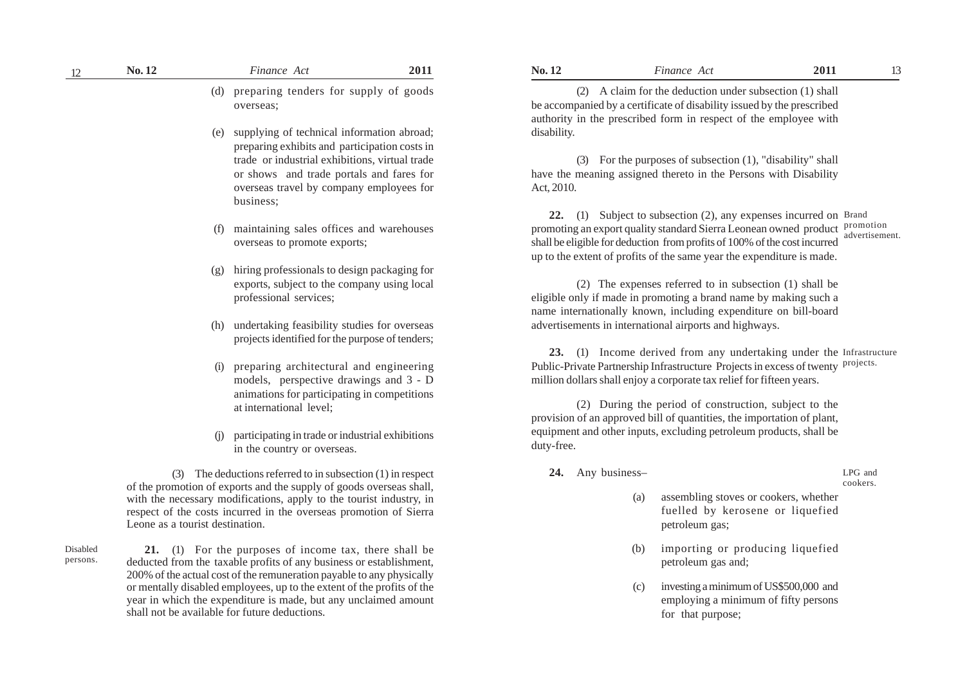| . . | unancı<br>AC                                                      | 201 | NO. | Finance<br>Acı                      | 201.                |  |
|-----|-------------------------------------------------------------------|-----|-----|-------------------------------------|---------------------|--|
|     | supp<br>tender<br>101<br>$\mathbf{r}$<br>preparing<br>goods<br>Ιa |     | ו ר | deduction und<br>:Jaim<br>the<br>∩r | shall<br>subsection |  |

overseas;

- (e) supplying of technical information abroad; preparing exhibits and participation costs in trade or industrial exhibitions, virtual trade or shows and trade portals and fares for overseas travel by company employees for business;
- maintaining sales offices and warehouses overseas to promote exports;
- (g) hiring professionals to design packaging for exports, subject to the company using local professional services;
- (h) undertaking feasibility studies for overseas projects identified for the purpose of tenders;
- (i) preparing architectural and engineering models, perspective drawings and 3 - D animations for participating in competitions at international level;
- (j) participating in trade or industrial exhibitions in the country or overseas.

(3) The deductions referred to in subsection (1) in respect of the promotion of exports and the supply of goods overseas shall, with the necessary modifications, apply to the tourist industry, in respect of the costs incurred in the overseas promotion of Sierra Leone as a tourist destination.

Disabled persons.

**21.** (1) For the purposes of income tax, there shall be deducted from the taxable profits of any business or establishment, 200% of the actual cost of the remuneration payable to any physically or mentally disabled employees, up to the extent of the profits of the year in which the expenditure is made, but any unclaimed amount shall not be available for future deductions.

be accompanied by a certificate of disability issued by the prescribed authority in the prescribed form in respect of the employee with disability.

(3) For the purposes of subsection (1), "disability" shall have the meaning assigned thereto in the Persons with Disability Act, 2010.

**22.** (1) Subject to subsection (2), any expenses incurred on Brand promoting an export quality standard Sierra Leonean owned product promotion shall be eligible for deduction from profits of 100% of the cost incurred up to the extent of profits of the same year the expenditure is made. advertisement.

(2) The expenses referred to in subsection (1) shall be eligible only if made in promoting a brand name by making such a name internationally known, including expenditure on bill-board advertisements in international airports and highways.

**23.** (1) Income derived from any undertaking under the Infrastructure Public-Private Partnership Infrastructure Projects in excess of twenty <sup>projects.</sup> million dollars shall enjoy a corporate tax relief for fifteen years.

(2) During the period of construction, subject to the provision of an approved bill of quantities, the importation of plant, equipment and other inputs, excluding petroleum products, shall be duty-free.

**24.** Any business–

LPG and cookers.

- (a) assembling stoves or cookers, whether fuelled by kerosene or liquefied petroleum gas;
- (b) importing or producing liquefied petroleum gas and;
- (c) investing a minimum of US\$500,000 and employing a minimum of fifty persons for that purpose;